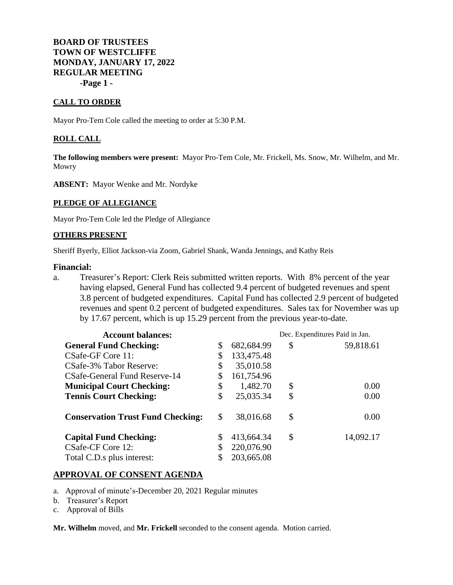**BOARD OF TRUSTEES TOWN OF WESTCLIFFE MONDAY, JANUARY 17, 2022 REGULAR MEETING -Page 1 -**

### **CALL TO ORDER**

Mayor Pro-Tem Cole called the meeting to order at 5:30 P.M.

#### **ROLL CALL**

**The following members were present:** Mayor Pro-Tem Cole, Mr. Frickell, Ms. Snow, Mr. Wilhelm, and Mr. Mowry

**ABSENT:** Mayor Wenke and Mr. Nordyke

#### **PLEDGE OF ALLEGIANCE**

Mayor Pro-Tem Cole led the Pledge of Allegiance

#### **OTHERS PRESENT**

Sheriff Byerly, Elliot Jackson-via Zoom, Gabriel Shank, Wanda Jennings, and Kathy Reis

#### **Financial:**

a. Treasurer's Report: Clerk Reis submitted written reports. With 8% percent of the year having elapsed, General Fund has collected 9.4 percent of budgeted revenues and spent 3.8 percent of budgeted expenditures. Capital Fund has collected 2.9 percent of budgeted revenues and spent 0.2 percent of budgeted expenditures. Sales tax for November was up by 17.67 percent, which is up 15.29 percent from the previous year-to-date.

| <b>Account balances:</b>                 |    | Dec. Expenditures Paid in Jan. |    |           |
|------------------------------------------|----|--------------------------------|----|-----------|
| <b>General Fund Checking:</b>            | \$ | 682,684.99                     | \$ | 59,818.61 |
| CSafe-GF Core 11:                        | \$ | 133,475.48                     |    |           |
| CSafe-3% Tabor Reserve:                  | \$ | 35,010.58                      |    |           |
| CSafe-General Fund Reserve-14            |    | 161,754.96                     |    |           |
| <b>Municipal Court Checking:</b>         | \$ | 1,482.70                       | \$ | 0.00      |
| <b>Tennis Court Checking:</b>            | \$ | 25,035.34                      | \$ | 0.00      |
| <b>Conservation Trust Fund Checking:</b> | \$ | 38,016.68                      | \$ | 0.00      |
| <b>Capital Fund Checking:</b>            |    | 413,664.34                     | \$ | 14,092.17 |
| CSafe-CF Core 12:                        |    | 220,076.90                     |    |           |
| Total C.D.s plus interest:               |    | 203,665.08                     |    |           |

### **APPROVAL OF CONSENT AGENDA**

- a. Approval of minute's-December 20, 2021 Regular minutes
- b. Treasurer's Report
- c. Approval of Bills

**Mr. Wilhelm** moved, and **Mr. Frickell** seconded to the consent agenda. Motion carried.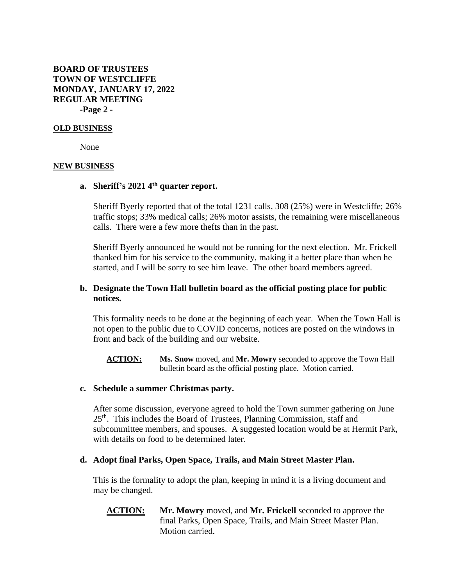# **BOARD OF TRUSTEES TOWN OF WESTCLIFFE MONDAY, JANUARY 17, 2022 REGULAR MEETING -Page 2 -**

### **OLD BUSINESS**

None

### **NEW BUSINESS**

### **a. Sheriff's 2021 4 th quarter report.**

Sheriff Byerly reported that of the total 1231 calls, 308 (25%) were in Westcliffe; 26% traffic stops; 33% medical calls; 26% motor assists, the remaining were miscellaneous calls. There were a few more thefts than in the past.

**S**heriff Byerly announced he would not be running for the next election. Mr. Frickell thanked him for his service to the community, making it a better place than when he started, and I will be sorry to see him leave. The other board members agreed.

## **b. Designate the Town Hall bulletin board as the official posting place for public notices.**

This formality needs to be done at the beginning of each year. When the Town Hall is not open to the public due to COVID concerns, notices are posted on the windows in front and back of the building and our website.

**ACTION: Ms. Snow** moved, and **Mr. Mowry** seconded to approve the Town Hall bulletin board as the official posting place. Motion carried.

## **c. Schedule a summer Christmas party.**

After some discussion, everyone agreed to hold the Town summer gathering on June 25<sup>th</sup>. This includes the Board of Trustees, Planning Commission, staff and subcommittee members, and spouses. A suggested location would be at Hermit Park, with details on food to be determined later.

### **d. Adopt final Parks, Open Space, Trails, and Main Street Master Plan.**

This is the formality to adopt the plan, keeping in mind it is a living document and may be changed.

**ACTION: Mr. Mowry** moved, and **Mr. Frickell** seconded to approve the final Parks, Open Space, Trails, and Main Street Master Plan. Motion carried.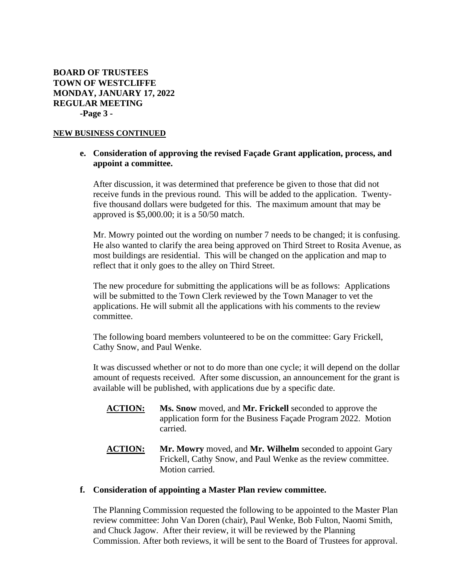## **BOARD OF TRUSTEES TOWN OF WESTCLIFFE MONDAY, JANUARY 17, 2022 REGULAR MEETING -Page 3 -**

### **NEW BUSINESS CONTINUED**

# **e. Consideration of approving the revised Façade Grant application, process, and appoint a committee.**

After discussion, it was determined that preference be given to those that did not receive funds in the previous round. This will be added to the application. Twentyfive thousand dollars were budgeted for this. The maximum amount that may be approved is \$5,000.00; it is a 50/50 match.

Mr. Mowry pointed out the wording on number 7 needs to be changed; it is confusing. He also wanted to clarify the area being approved on Third Street to Rosita Avenue, as most buildings are residential. This will be changed on the application and map to reflect that it only goes to the alley on Third Street.

The new procedure for submitting the applications will be as follows: Applications will be submitted to the Town Clerk reviewed by the Town Manager to vet the applications. He will submit all the applications with his comments to the review committee.

The following board members volunteered to be on the committee: Gary Frickell, Cathy Snow, and Paul Wenke.

It was discussed whether or not to do more than one cycle; it will depend on the dollar amount of requests received. After some discussion, an announcement for the grant is available will be published, with applications due by a specific date.

- **ACTION: Ms. Snow** moved, and **Mr. Frickell** seconded to approve the application form for the Business Façade Program 2022. Motion carried.
- **ACTION:** Mr. Mowry moved, and Mr. Wilhelm seconded to appoint Gary Frickell, Cathy Snow, and Paul Wenke as the review committee. Motion carried.

### **f. Consideration of appointing a Master Plan review committee.**

The Planning Commission requested the following to be appointed to the Master Plan review committee: John Van Doren (chair), Paul Wenke, Bob Fulton, Naomi Smith, and Chuck Jagow. After their review, it will be reviewed by the Planning Commission. After both reviews, it will be sent to the Board of Trustees for approval.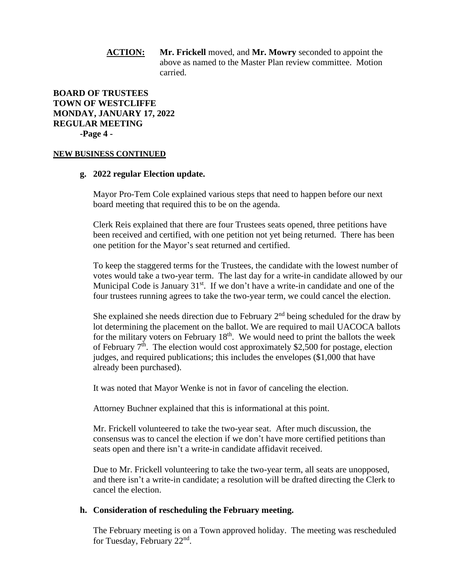# **ACTION: Mr. Frickell** moved, and **Mr. Mowry** seconded to appoint the above as named to the Master Plan review committee. Motion carried.

# **BOARD OF TRUSTEES TOWN OF WESTCLIFFE MONDAY, JANUARY 17, 2022 REGULAR MEETING -Page 4 -**

#### **NEW BUSINESS CONTINUED**

### **g. 2022 regular Election update.**

Mayor Pro-Tem Cole explained various steps that need to happen before our next board meeting that required this to be on the agenda.

Clerk Reis explained that there are four Trustees seats opened, three petitions have been received and certified, with one petition not yet being returned. There has been one petition for the Mayor's seat returned and certified.

To keep the staggered terms for the Trustees, the candidate with the lowest number of votes would take a two-year term. The last day for a write-in candidate allowed by our Municipal Code is January 31<sup>st</sup>. If we don't have a write-in candidate and one of the four trustees running agrees to take the two-year term, we could cancel the election.

She explained she needs direction due to February  $2<sup>nd</sup>$  being scheduled for the draw by lot determining the placement on the ballot. We are required to mail UACOCA ballots for the military voters on February  $18<sup>th</sup>$ . We would need to print the ballots the week of February  $7<sup>th</sup>$ . The election would cost approximately \$2,500 for postage, election judges, and required publications; this includes the envelopes (\$1,000 that have already been purchased).

It was noted that Mayor Wenke is not in favor of canceling the election.

Attorney Buchner explained that this is informational at this point.

Mr. Frickell volunteered to take the two-year seat. After much discussion, the consensus was to cancel the election if we don't have more certified petitions than seats open and there isn't a write-in candidate affidavit received.

Due to Mr. Frickell volunteering to take the two-year term, all seats are unopposed, and there isn't a write-in candidate; a resolution will be drafted directing the Clerk to cancel the election.

## **h. Consideration of rescheduling the February meeting.**

The February meeting is on a Town approved holiday. The meeting was rescheduled for Tuesday, February 22<sup>nd</sup>.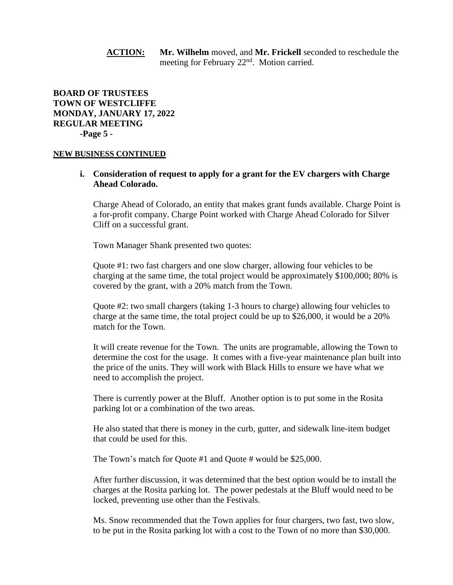**ACTION: Mr. Wilhelm** moved, and **Mr. Frickell** seconded to reschedule the meeting for February 22<sup>nd</sup>. Motion carried.

# **BOARD OF TRUSTEES TOWN OF WESTCLIFFE MONDAY, JANUARY 17, 2022 REGULAR MEETING -Page 5 -**

#### **NEW BUSINESS CONTINUED**

**i. Consideration of request to apply for a grant for the EV chargers with Charge Ahead Colorado.**

Charge Ahead of Colorado, an entity that makes grant funds available. Charge Point is a for-profit company. Charge Point worked with Charge Ahead Colorado for Silver Cliff on a successful grant.

Town Manager Shank presented two quotes:

Quote #1: two fast chargers and one slow charger, allowing four vehicles to be charging at the same time, the total project would be approximately \$100,000; 80% is covered by the grant, with a 20% match from the Town.

Quote #2: two small chargers (taking 1-3 hours to charge) allowing four vehicles to charge at the same time, the total project could be up to \$26,000, it would be a 20% match for the Town.

It will create revenue for the Town. The units are programable, allowing the Town to determine the cost for the usage. It comes with a five-year maintenance plan built into the price of the units. They will work with Black Hills to ensure we have what we need to accomplish the project.

There is currently power at the Bluff. Another option is to put some in the Rosita parking lot or a combination of the two areas.

He also stated that there is money in the curb, gutter, and sidewalk line-item budget that could be used for this.

The Town's match for Quote #1 and Quote # would be \$25,000.

After further discussion, it was determined that the best option would be to install the charges at the Rosita parking lot. The power pedestals at the Bluff would need to be locked, preventing use other than the Festivals.

Ms. Snow recommended that the Town applies for four chargers, two fast, two slow, to be put in the Rosita parking lot with a cost to the Town of no more than \$30,000.